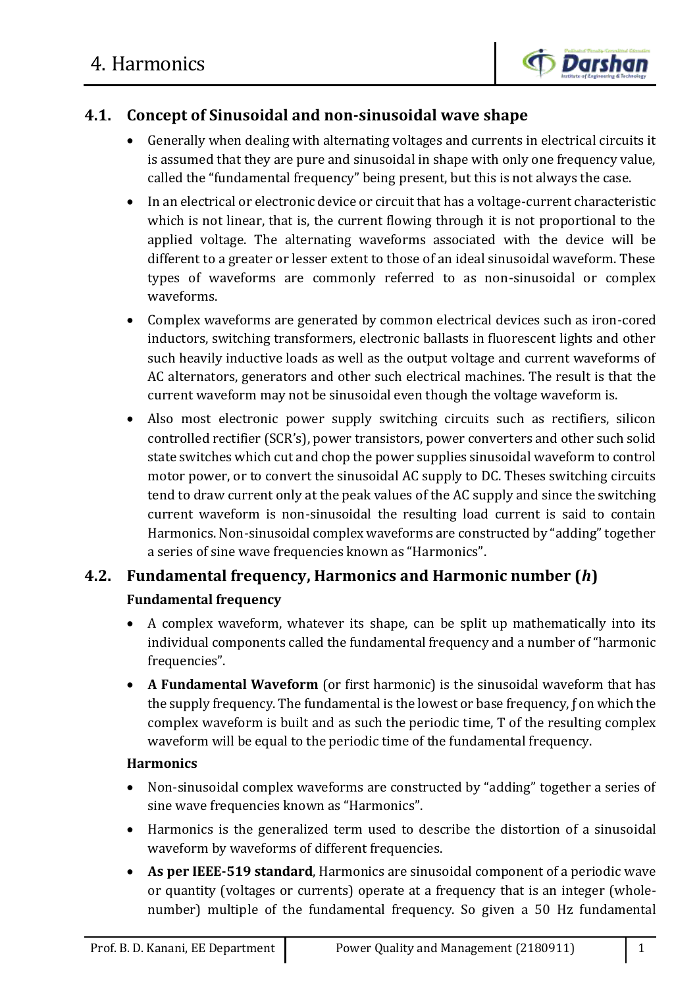

# **4.1. Concept of Sinusoidal and non-sinusoidal wave shape**

- Generally when dealing with alternating voltages and currents in electrical circuits it is assumed that they are pure and sinusoidal in shape with only one frequency value, called the "fundamental frequency" being present, but this is not always the case.
- In an electrical or electronic device or circuit that has a voltage-current characteristic which is not linear, that is, the current flowing through it is not proportional to the applied voltage. The alternating waveforms associated with the device will be different to a greater or lesser extent to those of an ideal sinusoidal waveform. These types of waveforms are commonly referred to as non-sinusoidal or complex waveforms.
- Complex waveforms are generated by common electrical devices such as iron-cored inductors, switching transformers, electronic ballasts in fluorescent lights and other such heavily inductive loads as well as the output voltage and current waveforms of AC alternators, generators and other such electrical machines. The result is that the current waveform may not be sinusoidal even though the voltage waveform is.
- Also most electronic power supply switching circuits such as rectifiers, silicon controlled rectifier (SCR's), power transistors, power converters and other such solid state switches which cut and chop the power supplies sinusoidal waveform to control motor power, or to convert the sinusoidal AC supply to DC. Theses switching circuits tend to draw current only at the peak values of the AC supply and since the switching current waveform is non-sinusoidal the resulting load current is said to contain Harmonics. Non-sinusoidal complex waveforms are constructed by "adding" together a series of sine wave frequencies known as "Harmonics".

# **4.2. Fundamental frequency, Harmonics and Harmonic number (***h***)**

## **Fundamental frequency**

- A complex waveform, whatever its shape, can be split up mathematically into its individual components called the fundamental frequency and a number of "harmonic frequencies".
- **A Fundamental Waveform** (or first harmonic) is the sinusoidal waveform that has the supply frequency. The fundamental is the lowest or base frequency, ƒ on which the complex waveform is built and as such the periodic time, Τ of the resulting complex waveform will be equal to the periodic time of the fundamental frequency.

## **Harmonics**

- Non-sinusoidal complex waveforms are constructed by "adding" together a series of sine wave frequencies known as "Harmonics".
- Harmonics is the generalized term used to describe the distortion of a sinusoidal waveform by waveforms of different frequencies.
- **As per IEEE-519 standard**, Harmonics are sinusoidal component of a periodic wave or quantity (voltages or currents) operate at a frequency that is an integer (wholenumber) multiple of the fundamental frequency. So given a 50 Hz fundamental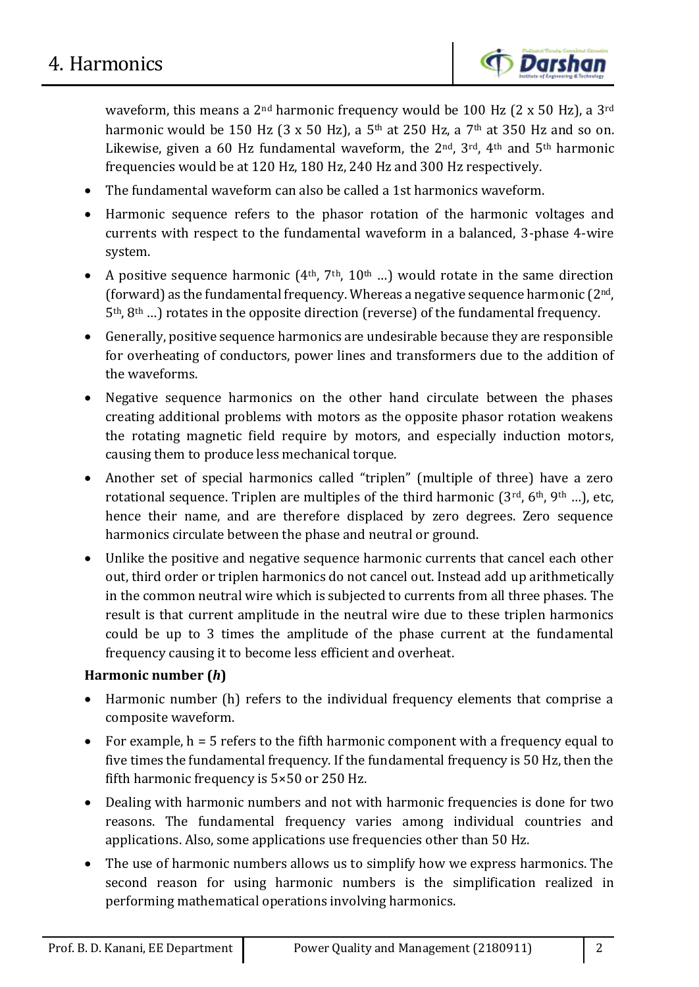waveform, this means a  $2<sup>nd</sup>$  harmonic frequency would be 100 Hz (2 x 50 Hz), a  $3<sup>rd</sup>$ harmonic would be 150 Hz (3 x 50 Hz), a 5<sup>th</sup> at 250 Hz, a 7<sup>th</sup> at 350 Hz and so on. Likewise, given a 60 Hz fundamental waveform, the  $2<sup>nd</sup>$ ,  $3<sup>rd</sup>$ ,  $4<sup>th</sup>$  and  $5<sup>th</sup>$  harmonic frequencies would be at 120 Hz, 180 Hz, 240 Hz and 300 Hz respectively.

- The fundamental waveform can also be called a 1st harmonics waveform.
- Harmonic sequence refers to the phasor rotation of the harmonic voltages and currents with respect to the fundamental waveform in a balanced, 3-phase 4-wire system.
- A positive sequence harmonic  $(4<sup>th</sup>, 7<sup>th</sup>, 10<sup>th</sup> ...)$  would rotate in the same direction (forward) as the fundamental frequency. Whereas a negative sequence harmonic  $(2<sup>nd</sup>,$  $5<sup>th</sup>$ ,  $8<sup>th</sup>$  ...) rotates in the opposite direction (reverse) of the fundamental frequency.
- Generally, positive sequence harmonics are undesirable because they are responsible for overheating of conductors, power lines and transformers due to the addition of the waveforms.
- Negative sequence harmonics on the other hand circulate between the phases creating additional problems with motors as the opposite phasor rotation weakens the rotating magnetic field require by motors, and especially induction motors, causing them to produce less mechanical torque.
- Another set of special harmonics called "triplen" (multiple of three) have a zero rotational sequence. Triplen are multiples of the third harmonic  $(3^{rd}, 6^{th}, 9^{th} ...)$ , etc, hence their name, and are therefore displaced by zero degrees. Zero sequence harmonics circulate between the phase and neutral or ground.
- Unlike the positive and negative sequence harmonic currents that cancel each other out, third order or triplen harmonics do not cancel out. Instead add up arithmetically in the common neutral wire which is subjected to currents from all three phases. The result is that current amplitude in the neutral wire due to these triplen harmonics could be up to 3 times the amplitude of the phase current at the fundamental frequency causing it to become less efficient and overheat.

## **Harmonic number (***h***)**

- Harmonic number (h) refers to the individual frequency elements that comprise a composite waveform.
- For example,  $h = 5$  refers to the fifth harmonic component with a frequency equal to five times the fundamental frequency. If the fundamental frequency is 50 Hz, then the fifth harmonic frequency is 5×50 or 250 Hz.
- Dealing with harmonic numbers and not with harmonic frequencies is done for two reasons. The fundamental frequency varies among individual countries and applications. Also, some applications use frequencies other than 50 Hz.
- The use of harmonic numbers allows us to simplify how we express harmonics. The second reason for using harmonic numbers is the simplification realized in performing mathematical operations involving harmonics.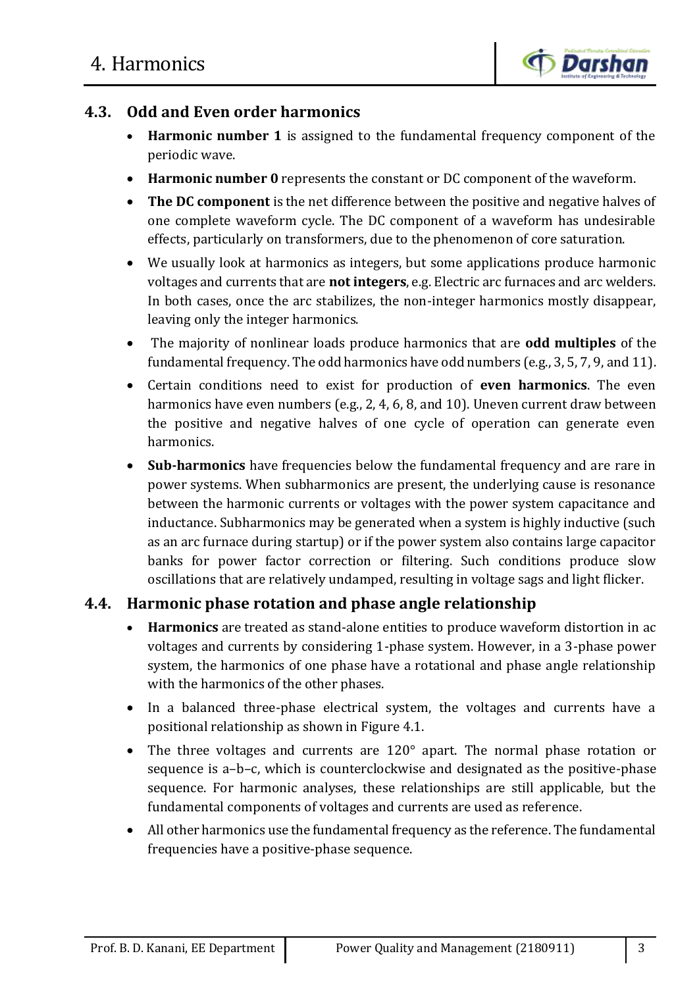

# **4.3. Odd and Even order harmonics**

- **Harmonic number 1** is assigned to the fundamental frequency component of the periodic wave.
- **Harmonic number 0** represents the constant or DC component of the waveform.
- **The DC component** is the net difference between the positive and negative halves of one complete waveform cycle. The DC component of a waveform has undesirable effects, particularly on transformers, due to the phenomenon of core saturation.
- We usually look at harmonics as integers, but some applications produce harmonic voltages and currents that are **not integers**, e.g. Electric arc furnaces and arc welders. In both cases, once the arc stabilizes, the non-integer harmonics mostly disappear, leaving only the integer harmonics.
- The majority of nonlinear loads produce harmonics that are **odd multiples** of the fundamental frequency. The odd harmonics have odd numbers (e.g., 3, 5, 7, 9, and 11).
- Certain conditions need to exist for production of **even harmonics**. The even harmonics have even numbers (e.g., 2, 4, 6, 8, and 10). Uneven current draw between the positive and negative halves of one cycle of operation can generate even harmonics.
- **Sub-harmonics** have frequencies below the fundamental frequency and are rare in power systems. When subharmonics are present, the underlying cause is resonance between the harmonic currents or voltages with the power system capacitance and inductance. Subharmonics may be generated when a system is highly inductive (such as an arc furnace during startup) or if the power system also contains large capacitor banks for power factor correction or filtering. Such conditions produce slow oscillations that are relatively undamped, resulting in voltage sags and light flicker.

# **4.4. Harmonic phase rotation and phase angle relationship**

- **Harmonics** are treated as stand-alone entities to produce waveform distortion in ac voltages and currents by considering 1-phase system. However, in a 3-phase power system, the harmonics of one phase have a rotational and phase angle relationship with the harmonics of the other phases.
- In a balanced three-phase electrical system, the voltages and currents have a positional relationship as shown in Figure 4.1.
- The three voltages and currents are 120° apart. The normal phase rotation or sequence is a–b–c, which is counterclockwise and designated as the positive-phase sequence. For harmonic analyses, these relationships are still applicable, but the fundamental components of voltages and currents are used as reference.
- All other harmonics use the fundamental frequency as the reference. The fundamental frequencies have a positive-phase sequence.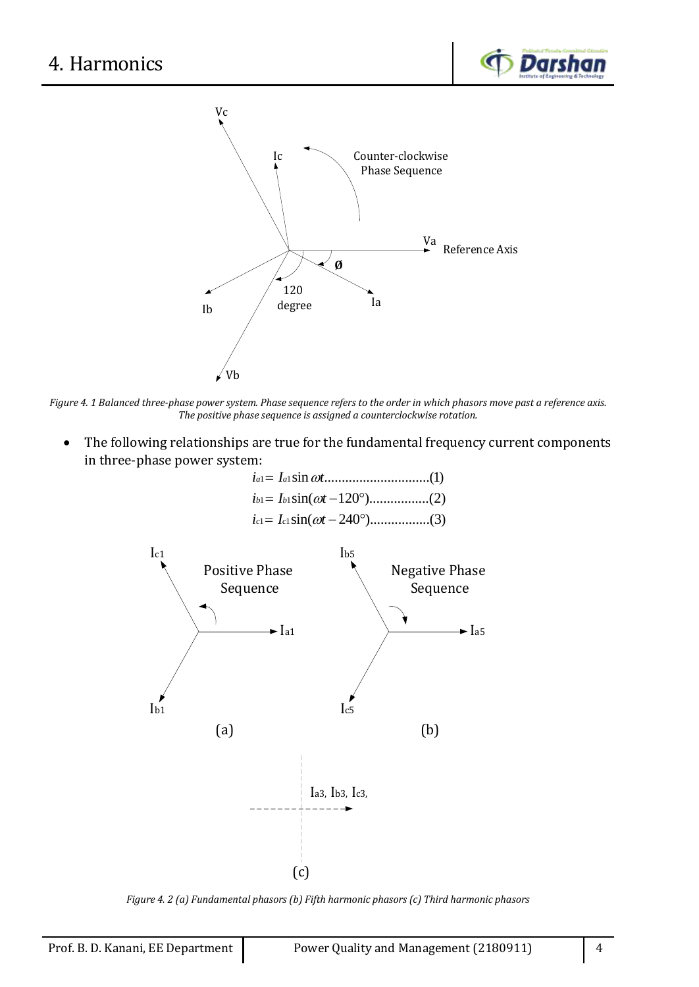



*Figure 4. 1 Balanced three-phase power system. Phase sequence refers to the order in which phasors move past a reference axis. The positive phase sequence is assigned a counterclockwise rotation.*

 The following relationships are true for the fundamental frequency current components in three-phase power system:

|                                                                                        | (1)                                                                                           |  |  |  |
|----------------------------------------------------------------------------------------|-----------------------------------------------------------------------------------------------|--|--|--|
|                                                                                        |                                                                                               |  |  |  |
|                                                                                        |                                                                                               |  |  |  |
| Ic1<br><b>Positive Phase</b><br>Sequence<br>$\blacktriangleright$ $I_{a1}$<br>$I_{b1}$ | I <sub>b5</sub><br><b>Negative Phase</b><br>Sequence<br>$\blacktriangleright$ Ia5<br>$I_{c5}$ |  |  |  |
| (a)                                                                                    | (b)                                                                                           |  |  |  |
|                                                                                        | Ia3, Ib3, Ic3,                                                                                |  |  |  |
|                                                                                        | (c)                                                                                           |  |  |  |

*Figure 4. 2 (a) Fundamental phasors (b) Fifth harmonic phasors (c) Third harmonic phasors*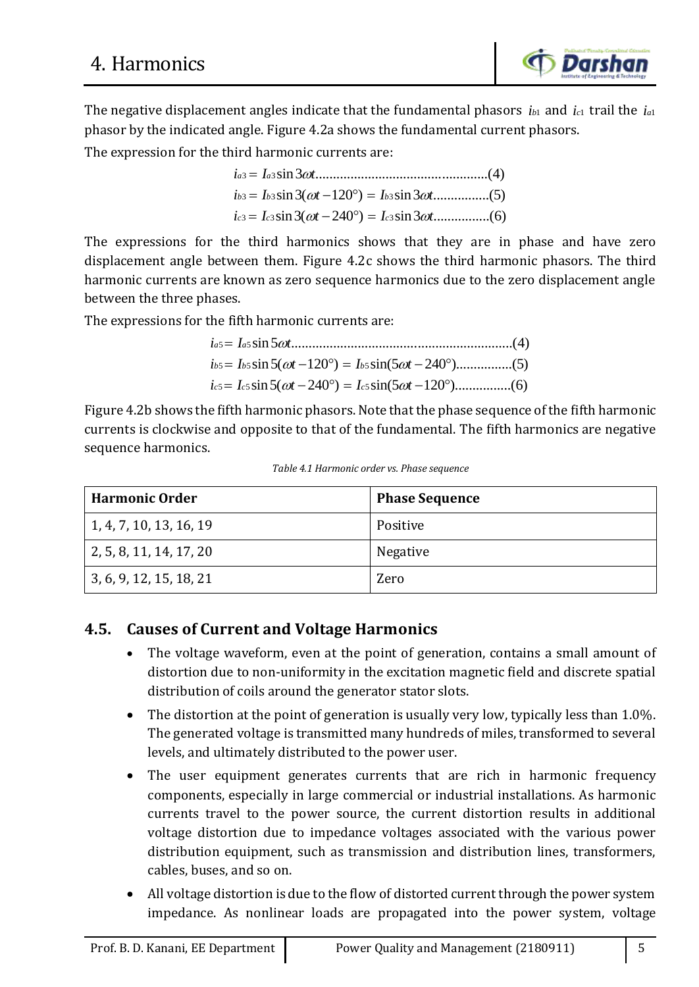The negative displacement angles indicate that the fundamental phasors  $i_{b1}$  and  $i_{c1}$  trail the  $i_{a1}$ phasor by the indicated angle. Figure 4.2a shows the fundamental current phasors.

The expression for the third harmonic currents are:

$$
i_{a3} = I_{a3} \sin 3\omega t \dots (4)
$$
  
\n
$$
i_{b3} = I_{b3} \sin 3(\omega t - 120^{\circ}) = I_{b3} \sin 3\omega t \dots (5)
$$
  
\n
$$
i_{c3} = I_{c3} \sin 3(\omega t - 240^{\circ}) = I_{c3} \sin 3\omega t \dots (6)
$$

The expressions for the third harmonics shows that they are in phase and have zero displacement angle between them. Figure 4.2c shows the third harmonic phasors. The third harmonic currents are known as zero sequence harmonics due to the zero displacement angle between the three phases.

The expressions for the fifth harmonic currents are:

5 5 sin 5 ...............................................................(4) *a a* 5 5 5 sin 5( 120 ) sin(5 240 )................(5) *b b b i I t I t* 5 5 5 sin 5( 240 ) sin(5 120 )................(6) *c c c i I t I t i* I he fifth harm<br>*i*<sub>a5</sub> = *I*<sub>a5</sub> sin 5 *ot* 

Figure 4.2b shows the fifth harmonic phasors. Note that the phase sequence of the fifth harmonic currents is clockwise and opposite to that of the fundamental. The fifth harmonics are negative sequence harmonics.

|  |  |  | Table 4.1 Harmonic order vs. Phase sequence |
|--|--|--|---------------------------------------------|
|--|--|--|---------------------------------------------|

| <b>Harmonic Order</b>   | <b>Phase Sequence</b> |
|-------------------------|-----------------------|
| 1, 4, 7, 10, 13, 16, 19 | Positive              |
| 2, 5, 8, 11, 14, 17, 20 | Negative              |
| 3, 6, 9, 12, 15, 18, 21 | Zero                  |

# **4.5. Causes of Current and Voltage Harmonics**

- The voltage waveform, even at the point of generation, contains a small amount of distortion due to non-uniformity in the excitation magnetic field and discrete spatial distribution of coils around the generator stator slots.
- The distortion at the point of generation is usually very low, typically less than 1.0%. The generated voltage is transmitted many hundreds of miles, transformed to several levels, and ultimately distributed to the power user.
- The user equipment generates currents that are rich in harmonic frequency components, especially in large commercial or industrial installations. As harmonic currents travel to the power source, the current distortion results in additional voltage distortion due to impedance voltages associated with the various power distribution equipment, such as transmission and distribution lines, transformers, cables, buses, and so on.
- All voltage distortion is due to the flow of distorted current through the power system impedance. As nonlinear loads are propagated into the power system, voltage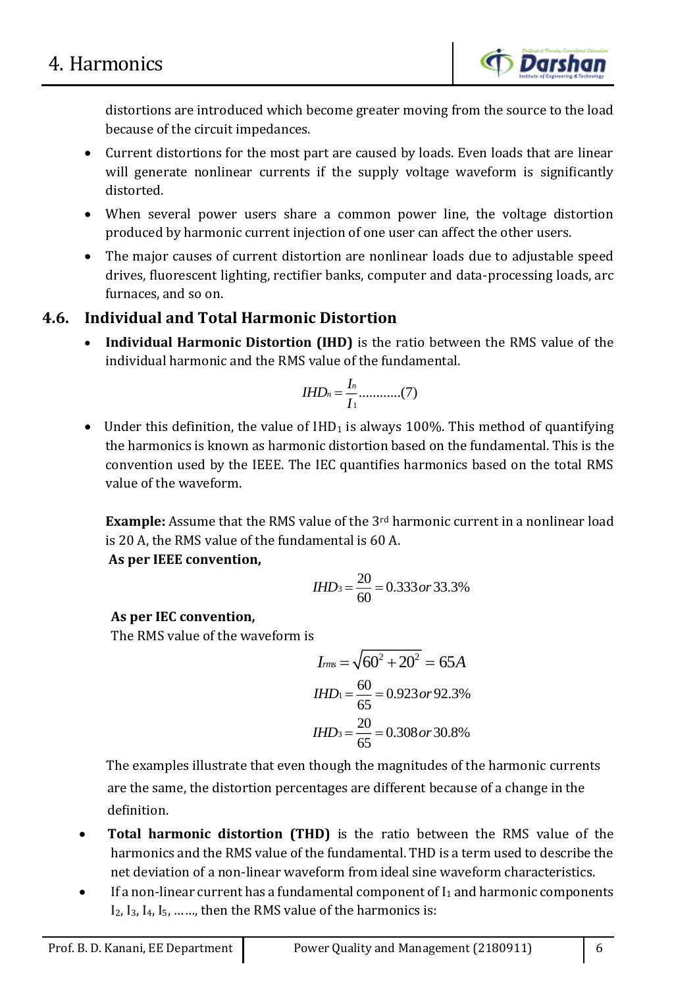distortions are introduced which become greater moving from the source to the load because of the circuit impedances.

- Current distortions for the most part are caused by loads. Even loads that are linear will generate nonlinear currents if the supply voltage waveform is significantly distorted.
- When several power users share a common power line, the voltage distortion produced by harmonic current injection of one user can affect the other users.
- The major causes of current distortion are nonlinear loads due to adjustable speed drives, fluorescent lighting, rectifier banks, computer and data-processing loads, arc furnaces, and so on.

# **4.6. Individual and Total Harmonic Distortion**

 **Individual Harmonic Distortion (IHD)** is the ratio between the RMS value of the individual harmonic and the RMS value of the fundamental.

$$
IHD_n=\frac{I_n}{I_1} \dots \dots \dots \dots (7)
$$

• Under this definition, the value of  $IHD<sub>1</sub>$  is always 100%. This method of quantifying the harmonics is known as harmonic distortion based on the fundamental. This is the convention used by the IEEE. The IEC quantifies harmonics based on the total RMS value of the waveform.

**Example:** Assume that the RMS value of the 3<sup>rd</sup> harmonic current in a nonlinear load is 20 A, the RMS value of the fundamental is 60 A.

**As per IEEE convention,**

*IHD*<sub>3</sub> = 
$$
\frac{20}{60}
$$
 = 0.333*or* 33.3%

## **As per IEC convention,**

The RMS value of the waveform is

$$
I_{rms} = \sqrt{60^2 + 20^2} = 65A
$$
  
\n
$$
IHD_1 = \frac{60}{65} = 0.923 \text{ or } 92.3\%
$$
  
\n
$$
IHD_3 = \frac{20}{65} = 0.308 \text{ or } 30.8\%
$$

 The examples illustrate that even though the magnitudes of the harmonic currents are the same, the distortion percentages are different because of a change in the definition.

- **Total harmonic distortion (THD)** is the ratio between the RMS value of the harmonics and the RMS value of the fundamental. THD is a term used to describe the net deviation of a non-linear waveform from ideal sine waveform characteristics.
- $\bullet$  If a non-linear current has a fundamental component of  $I_1$  and harmonic components I2, I3, I4, I5, ……, then the RMS value of the harmonics is: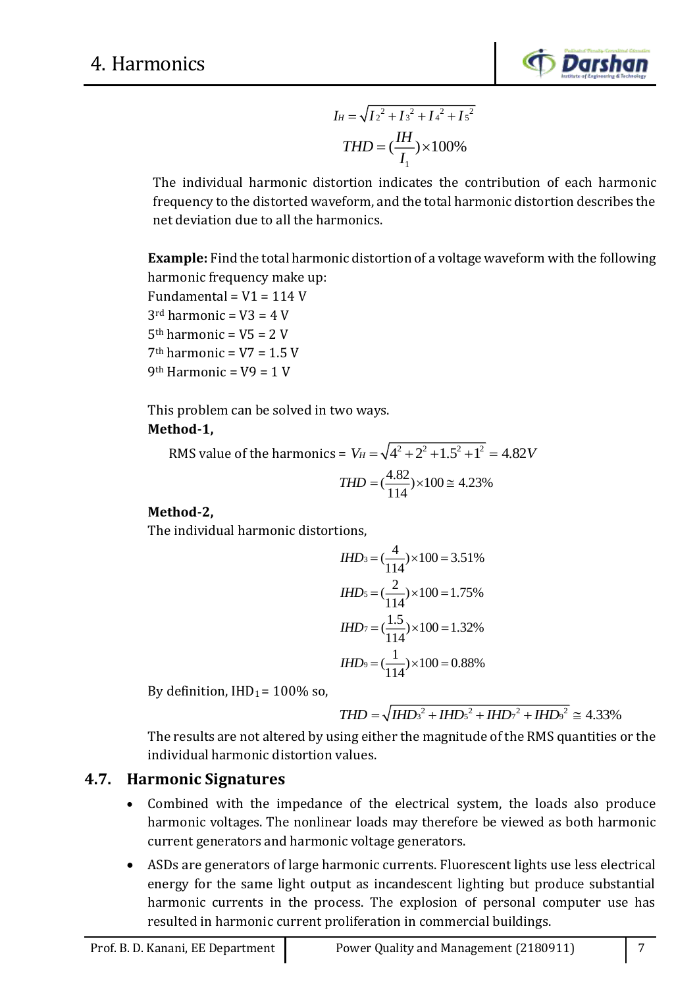

$$
I_{H} = \sqrt{I_{2}^{2} + I_{3}^{2} + I_{4}^{2} + I_{5}^{2}}
$$

$$
THD = (\frac{IH}{I_{1}}) \times 100\%
$$

The individual harmonic distortion indicates the contribution of each harmonic frequency to the distorted waveform, and the total harmonic distortion describes the net deviation due to all the harmonics.

**Example:** Find the total harmonic distortion of a voltage waveform with the following harmonic frequency make up:

Fundamental =  $V1 = 114$  V  $3<sup>rd</sup>$  harmonic = V3 = 4 V  $5<sup>th</sup> harmonic = V5 = 2 V$  $7<sup>th</sup> harmonic = V7 = 1.5 V$ 9<sup>th</sup> Harmonic =  $V9 = 1$  V

This problem can be solved in two ways.

## **Method-1,**

RMS value of the harmonics =  $V_H = \sqrt{4^2 + 2^2 + 1.5^2 + 1^2} = 4.82 V$  $\left(\frac{4.82}{114}\right) \times 100 \approx 4.23\%$  $THD = (\frac{1.000}{1.000}) \times 100 \approx$ 

## **Method-2,**

The individual harmonic distortions,

$$
IHD_3 = (\frac{4}{114}) \times 100 = 3.51\%
$$
  
\n
$$
IHD_5 = (\frac{2}{114}) \times 100 = 1.75\%
$$
  
\n
$$
IHD_7 = (\frac{1.5}{114}) \times 100 = 1.32\%
$$
  
\n
$$
IHD_9 = (\frac{1}{114}) \times 100 = 0.88\%
$$

By definition,  $IHD_1 = 100\%$  so,

$$
THD = \sqrt{IHDs^{2} + IHDs^{2} + IHDr^{2} + IHDr^{2}} \approx 4.33\%
$$

The results are not altered by using either the magnitude of the RMS quantities or the individual harmonic distortion values.

# **4.7. Harmonic Signatures**

- Combined with the impedance of the electrical system, the loads also produce harmonic voltages. The nonlinear loads may therefore be viewed as both harmonic current generators and harmonic voltage generators.
- ASDs are generators of large harmonic currents. Fluorescent lights use less electrical energy for the same light output as incandescent lighting but produce substantial harmonic currents in the process. The explosion of personal computer use has resulted in harmonic current proliferation in commercial buildings.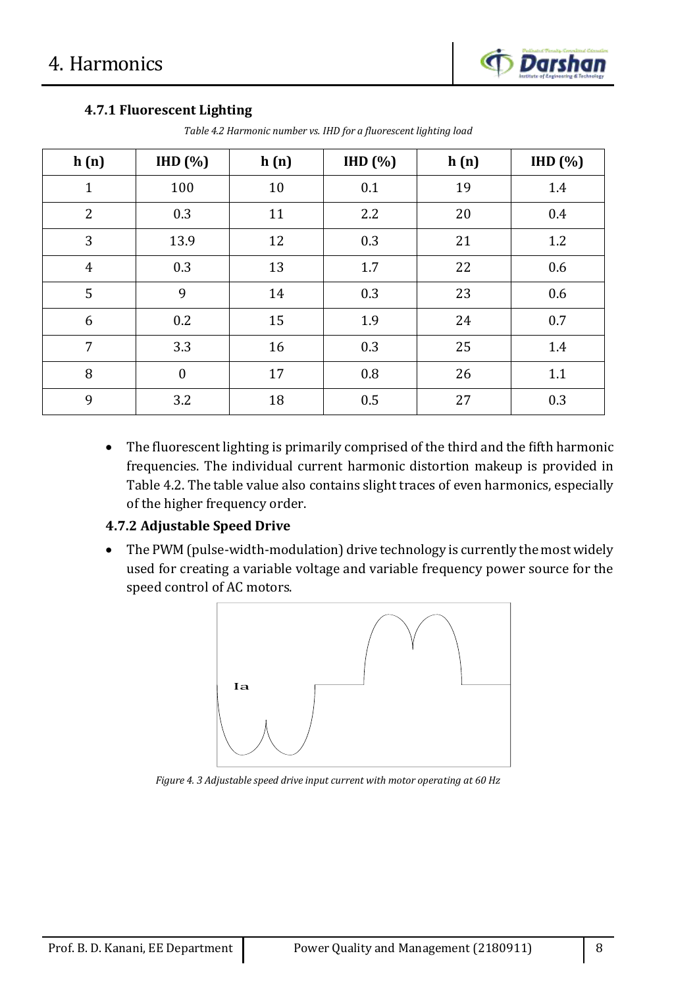## **4.7.1 Fluorescent Lighting**

| h(n)           | IHD(%)           | h(n) | IHD(%) | h(n) | IHD(%) |
|----------------|------------------|------|--------|------|--------|
| $\mathbf{1}$   | 100              | 10   | 0.1    | 19   | 1.4    |
| $\overline{2}$ | 0.3              | 11   | 2.2    | 20   | 0.4    |
| 3              | 13.9             | 12   | 0.3    | 21   | 1.2    |
| $\overline{4}$ | 0.3              | 13   | 1.7    | 22   | 0.6    |
| 5              | 9                | 14   | 0.3    | 23   | 0.6    |
| 6              | 0.2              | 15   | 1.9    | 24   | 0.7    |
| 7              | 3.3              | 16   | 0.3    | 25   | 1.4    |
| 8              | $\boldsymbol{0}$ | 17   | 0.8    | 26   | 1.1    |
| 9              | 3.2              | 18   | 0.5    | 27   | 0.3    |

*Table 4.2 Harmonic number vs. IHD for a fluorescent lighting load*

 The fluorescent lighting is primarily comprised of the third and the fifth harmonic frequencies. The individual current harmonic distortion makeup is provided in Table 4.2. The table value also contains slight traces of even harmonics, especially of the higher frequency order.

## **4.7.2 Adjustable Speed Drive**

• The PWM (pulse-width-modulation) drive technology is currently the most widely used for creating a variable voltage and variable frequency power source for the speed control of AC motors.



*Figure 4. 3 Adjustable speed drive input current with motor operating at 60 Hz*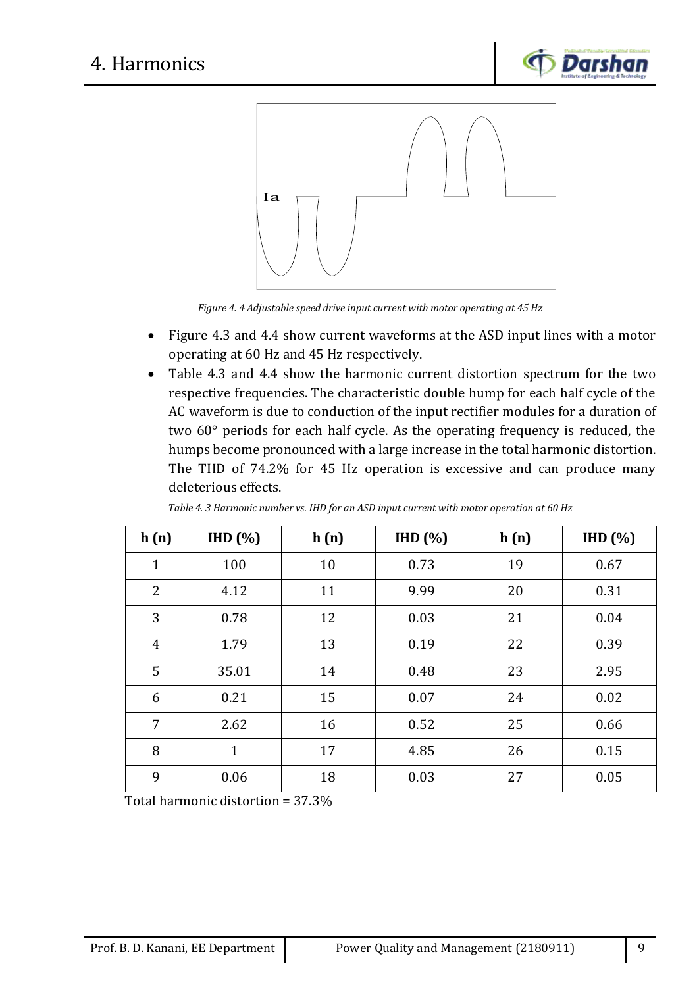



*Figure 4. 4 Adjustable speed drive input current with motor operating at 45 Hz*

- Figure 4.3 and 4.4 show current waveforms at the ASD input lines with a motor operating at 60 Hz and 45 Hz respectively.
- Table 4.3 and 4.4 show the harmonic current distortion spectrum for the two respective frequencies. The characteristic double hump for each half cycle of the AC waveform is due to conduction of the input rectifier modules for a duration of two 60° periods for each half cycle. As the operating frequency is reduced, the humps become pronounced with a large increase in the total harmonic distortion. The THD of 74.2% for 45 Hz operation is excessive and can produce many deleterious effects.

| h(n)           | IHD(%)       | h(n) | IHD(%) | h(n) | IHD(%) |
|----------------|--------------|------|--------|------|--------|
| $\mathbf{1}$   | 100          | 10   | 0.73   | 19   | 0.67   |
| $\overline{2}$ | 4.12         | 11   | 9.99   | 20   | 0.31   |
| 3              | 0.78         | 12   | 0.03   | 21   | 0.04   |
| 4              | 1.79         | 13   | 0.19   | 22   | 0.39   |
| 5              | 35.01        | 14   | 0.48   | 23   | 2.95   |
| 6              | 0.21         | 15   | 0.07   | 24   | 0.02   |
| 7              | 2.62         | 16   | 0.52   | 25   | 0.66   |
| 8              | $\mathbf{1}$ | 17   | 4.85   | 26   | 0.15   |
| 9              | 0.06         | 18   | 0.03   | 27   | 0.05   |

*Table 4. 3 Harmonic number vs. IHD for an ASD input current with motor operation at 60 Hz*

Total harmonic distortion = 37.3%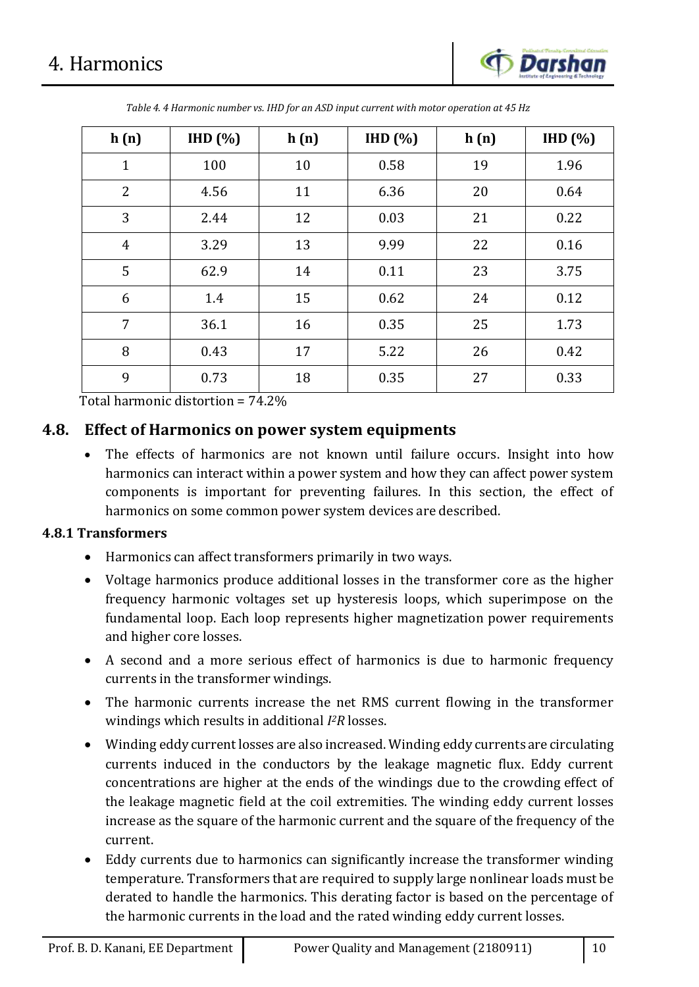

| h(n)           | HID(%) | h(n) | IHD(%) | h(n) | H D (%) |
|----------------|--------|------|--------|------|---------|
| $\mathbf{1}$   | 100    | 10   | 0.58   | 19   | 1.96    |
| $\overline{2}$ | 4.56   | 11   | 6.36   | 20   | 0.64    |
| 3              | 2.44   | 12   | 0.03   | 21   | 0.22    |
| $\overline{4}$ | 3.29   | 13   | 9.99   | 22   | 0.16    |
| 5              | 62.9   | 14   | 0.11   | 23   | 3.75    |
| 6              | 1.4    | 15   | 0.62   | 24   | 0.12    |
| 7              | 36.1   | 16   | 0.35   | 25   | 1.73    |
| 8              | 0.43   | 17   | 5.22   | 26   | 0.42    |
| 9              | 0.73   | 18   | 0.35   | 27   | 0.33    |

*Table 4. 4 Harmonic number vs. IHD for an ASD input current with motor operation at 45 Hz*

Total harmonic distortion = 74.2%

## **4.8. Effect of Harmonics on power system equipments**

 The effects of harmonics are not known until failure occurs. Insight into how harmonics can interact within a power system and how they can affect power system components is important for preventing failures. In this section, the effect of harmonics on some common power system devices are described.

#### **4.8.1 Transformers**

- Harmonics can affect transformers primarily in two ways.
- Voltage harmonics produce additional losses in the transformer core as the higher frequency harmonic voltages set up hysteresis loops, which superimpose on the fundamental loop. Each loop represents higher magnetization power requirements and higher core losses.
- A second and a more serious effect of harmonics is due to harmonic frequency currents in the transformer windings.
- The harmonic currents increase the net RMS current flowing in the transformer windings which results in additional *I <sup>2</sup>R* losses.
- Winding eddy current losses are also increased. Winding eddy currents are circulating currents induced in the conductors by the leakage magnetic flux. Eddy current concentrations are higher at the ends of the windings due to the crowding effect of the leakage magnetic field at the coil extremities. The winding eddy current losses increase as the square of the harmonic current and the square of the frequency of the current.
- Eddy currents due to harmonics can significantly increase the transformer winding temperature. Transformers that are required to supply large nonlinear loads must be derated to handle the harmonics. This derating factor is based on the percentage of the harmonic currents in the load and the rated winding eddy current losses.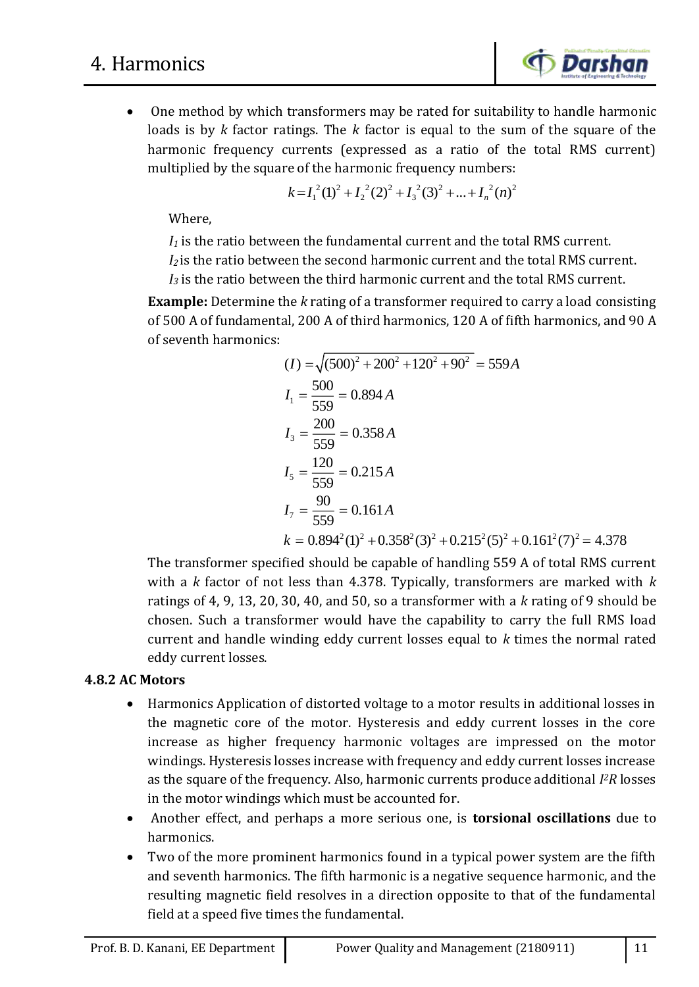

 One method by which transformers may be rated for suitability to handle harmonic loads is by *k* factor ratings. The *k* factor is equal to the sum of the square of the harmonic frequency currents (expressed as a ratio of the total RMS current) multiplied by the square of the harmonic frequency numbers:<br> $k = I_1^2(1)^2 + I_2^2(2)^2 + I_3^2(3)^2 + ... + I_n^2(n)^2$ 

$$
k = I_1^2(1)^2 + I_2^2(2)^2 + I_3^2(3)^2 + ... + I_n^2(n)^2
$$

Where,

*I<sup>1</sup>* is the ratio between the fundamental current and the total RMS current.

*I2* is the ratio between the second harmonic current and the total RMS current.

*I<sup>3</sup>* is the ratio between the third harmonic current and the total RMS current.

**Example:** Determine the *k* rating of a transformer required to carry a load consisting of 500 A of fundamental, 200 A of third harmonics, 120 A of fifth harmonics, and 90 A of seventh harmonics:

$$
(I) = \sqrt{(500)^2 + 200^2 + 120^2 + 90^2} = 559A
$$
  
\n
$$
I_1 = \frac{500}{559} = 0.894 A
$$
  
\n
$$
I_3 = \frac{200}{559} = 0.358 A
$$
  
\n
$$
I_5 = \frac{120}{559} = 0.215 A
$$
  
\n
$$
I_7 = \frac{90}{559} = 0.161 A
$$
  
\n
$$
k = 0.894^2(1)^2 + 0.358^2(3)^2 + 0.215^2(5)^2 + 0.161^2(7)^2 = 4.378
$$

The transformer specified should be capable of handling 559 A of total RMS current with a *k* factor of not less than 4.378. Typically, transformers are marked with *k* ratings of 4, 9, 13, 20, 30, 40, and 50, so a transformer with a *k* rating of 9 should be chosen. Such a transformer would have the capability to carry the full RMS load current and handle winding eddy current losses equal to *k* times the normal rated eddy current losses.

## **4.8.2 AC Motors**

- Harmonics Application of distorted voltage to a motor results in additional losses in the magnetic core of the motor. Hysteresis and eddy current losses in the core increase as higher frequency harmonic voltages are impressed on the motor windings. Hysteresis losses increase with frequency and eddy current losses increase as the square of the frequency. Also, harmonic currents produce additional *I <sup>2</sup>R* losses in the motor windings which must be accounted for.
- Another effect, and perhaps a more serious one, is **torsional oscillations** due to harmonics.
- Two of the more prominent harmonics found in a typical power system are the fifth and seventh harmonics. The fifth harmonic is a negative sequence harmonic, and the resulting magnetic field resolves in a direction opposite to that of the fundamental field at a speed five times the fundamental.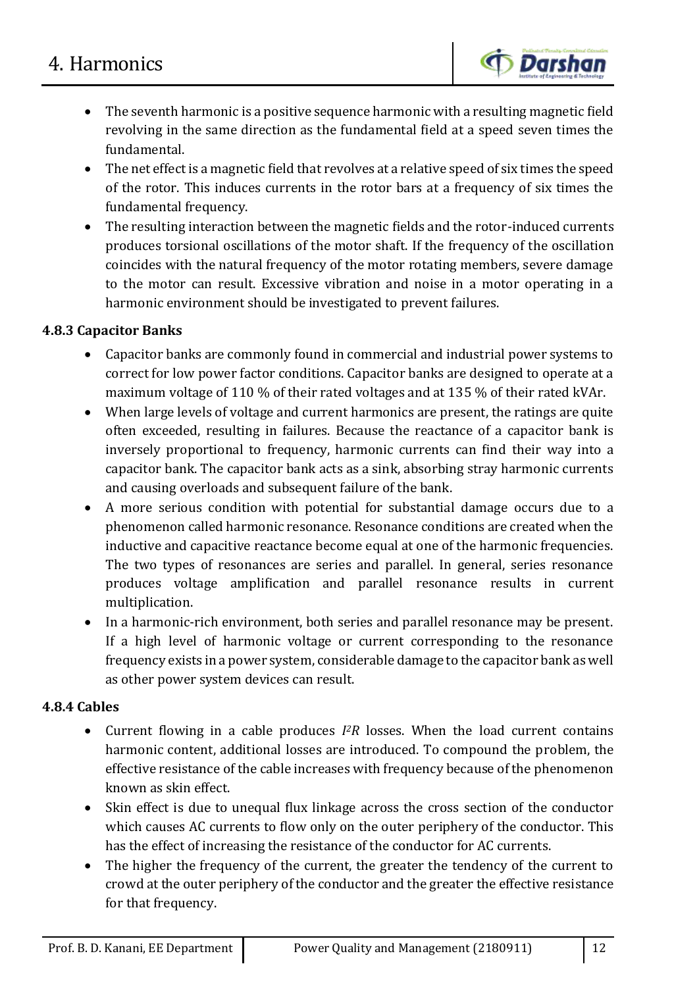# 4. Harmonics



- The seventh harmonic is a positive sequence harmonic with a resulting magnetic field revolving in the same direction as the fundamental field at a speed seven times the fundamental.
- The net effect is a magnetic field that revolves at a relative speed of six times the speed of the rotor. This induces currents in the rotor bars at a frequency of six times the fundamental frequency.
- The resulting interaction between the magnetic fields and the rotor-induced currents produces torsional oscillations of the motor shaft. If the frequency of the oscillation coincides with the natural frequency of the motor rotating members, severe damage to the motor can result. Excessive vibration and noise in a motor operating in a harmonic environment should be investigated to prevent failures.

## **4.8.3 Capacitor Banks**

- Capacitor banks are commonly found in commercial and industrial power systems to correct for low power factor conditions. Capacitor banks are designed to operate at a maximum voltage of 110 % of their rated voltages and at 135 % of their rated kVAr.
- When large levels of voltage and current harmonics are present, the ratings are quite often exceeded, resulting in failures. Because the reactance of a capacitor bank is inversely proportional to frequency, harmonic currents can find their way into a capacitor bank. The capacitor bank acts as a sink, absorbing stray harmonic currents and causing overloads and subsequent failure of the bank.
- A more serious condition with potential for substantial damage occurs due to a phenomenon called harmonic resonance. Resonance conditions are created when the inductive and capacitive reactance become equal at one of the harmonic frequencies. The two types of resonances are series and parallel. In general, series resonance produces voltage amplification and parallel resonance results in current multiplication.
- In a harmonic-rich environment, both series and parallel resonance may be present. If a high level of harmonic voltage or current corresponding to the resonance frequency exists in a power system, considerable damage to the capacitor bank as well as other power system devices can result.

## **4.8.4 Cables**

- Current flowing in a cable produces *I <sup>2</sup>R* losses. When the load current contains harmonic content, additional losses are introduced. To compound the problem, the effective resistance of the cable increases with frequency because of the phenomenon known as skin effect.
- Skin effect is due to unequal flux linkage across the cross section of the conductor which causes AC currents to flow only on the outer periphery of the conductor. This has the effect of increasing the resistance of the conductor for AC currents.
- The higher the frequency of the current, the greater the tendency of the current to crowd at the outer periphery of the conductor and the greater the effective resistance for that frequency.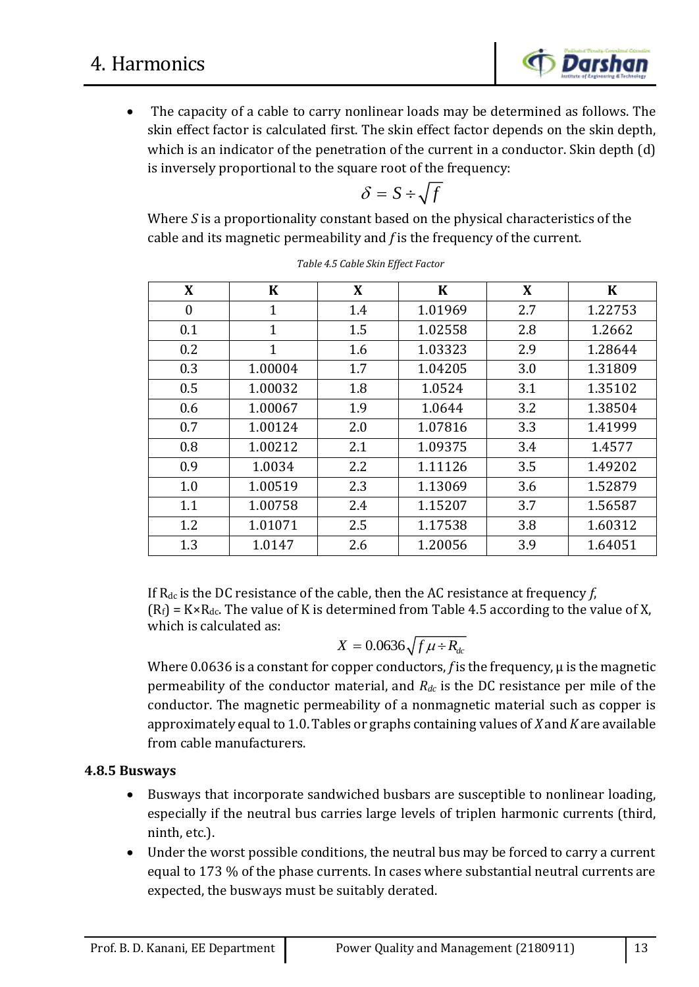

 The capacity of a cable to carry nonlinear loads may be determined as follows. The skin effect factor is calculated first. The skin effect factor depends on the skin depth, which is an indicator of the penetration of the current in a conductor. Skin depth (d) is inversely proportional to the square root of the frequency:

$$
\delta = S \div \sqrt{f}
$$

Where *S* is a proportionality constant based on the physical characteristics of the cable and its magnetic permeability and *f* is the frequency of the current.

| X                | $\bf K$      | X   | $\bf K$ | X   | $\bf K$ |
|------------------|--------------|-----|---------|-----|---------|
| $\boldsymbol{0}$ | 1            | 1.4 | 1.01969 | 2.7 | 1.22753 |
| 0.1              | $\mathbf{1}$ | 1.5 | 1.02558 | 2.8 | 1.2662  |
| 0.2              | $\mathbf{1}$ | 1.6 | 1.03323 | 2.9 | 1.28644 |
| 0.3              | 1.00004      | 1.7 | 1.04205 | 3.0 | 1.31809 |
| 0.5              | 1.00032      | 1.8 | 1.0524  | 3.1 | 1.35102 |
| 0.6              | 1.00067      | 1.9 | 1.0644  | 3.2 | 1.38504 |
| 0.7              | 1.00124      | 2.0 | 1.07816 | 3.3 | 1.41999 |
| 0.8              | 1.00212      | 2.1 | 1.09375 | 3.4 | 1.4577  |
| 0.9              | 1.0034       | 2.2 | 1.11126 | 3.5 | 1.49202 |
| 1.0              | 1.00519      | 2.3 | 1.13069 | 3.6 | 1.52879 |
| 1.1              | 1.00758      | 2.4 | 1.15207 | 3.7 | 1.56587 |
| 1.2              | 1.01071      | 2.5 | 1.17538 | 3.8 | 1.60312 |
| 1.3              | 1.0147       | 2.6 | 1.20056 | 3.9 | 1.64051 |

*Table 4.5 Cable Skin Effect Factor*

If Rdc is the DC resistance of the cable, then the AC resistance at frequency *f*,  $(R_f) = K \times R_{dc}$ . The value of K is determined from Table 4.5 according to the value of X, which is calculated as:

$$
X = 0.0636 \sqrt{f \mu \div R_{dc}}
$$

Where 0.0636 is a constant for copper conductors, *f* is the frequency, µ is the magnetic permeability of the conductor material, and *Rdc* is the DC resistance per mile of the conductor. The magnetic permeability of a nonmagnetic material such as copper is approximately equal to 1.0. Tables or graphs containing values of *X* and *K* are available from cable manufacturers.

## **4.8.5 Busways**

- Busways that incorporate sandwiched busbars are susceptible to nonlinear loading, especially if the neutral bus carries large levels of triplen harmonic currents (third, ninth, etc.).
- Under the worst possible conditions, the neutral bus may be forced to carry a current equal to 173 % of the phase currents. In cases where substantial neutral currents are expected, the busways must be suitably derated.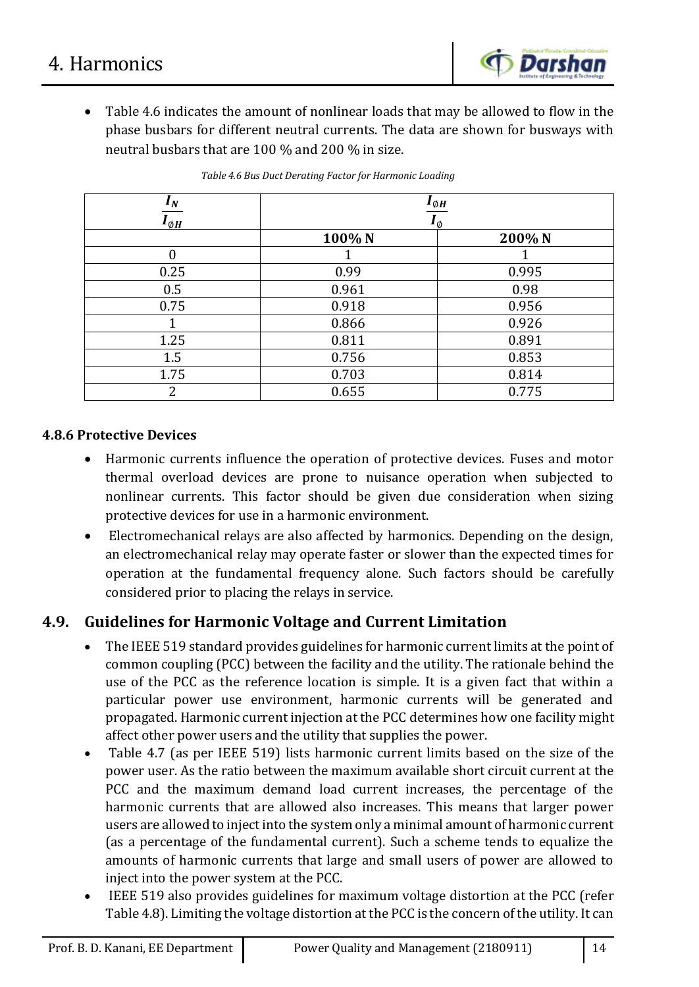

 Table 4.6 indicates the amount of nonlinear loads that may be allowed to flow in the phase busbars for different neutral currents. The data are shown for busways with neutral busbars that are 100 % and 200 % in size.

| $I_N$             | $I_{\emptyset H}$  |        |  |
|-------------------|--------------------|--------|--|
| $\bm{I}_{\phi H}$ | $\bm{l}_\emptyset$ |        |  |
|                   | 100% N             | 200% N |  |
|                   |                    |        |  |
| 0.25              | 0.99               | 0.995  |  |
| 0.5               | 0.961              | 0.98   |  |
| 0.75              | 0.918              | 0.956  |  |
|                   | 0.866              | 0.926  |  |
| 1.25              | 0.811              | 0.891  |  |
| 1.5               | 0.756              | 0.853  |  |
| 1.75              | 0.703              | 0.814  |  |
| 2                 | 0.655              | 0.775  |  |

*Table 4.6 Bus Duct Derating Factor for Harmonic Loading*

### **4.8.6 Protective Devices**

- Harmonic currents influence the operation of protective devices. Fuses and motor thermal overload devices are prone to nuisance operation when subjected to nonlinear currents. This factor should be given due consideration when sizing protective devices for use in a harmonic environment.
- Electromechanical relays are also affected by harmonics. Depending on the design, an electromechanical relay may operate faster or slower than the expected times for operation at the fundamental frequency alone. Such factors should be carefully considered prior to placing the relays in service.

# **4.9. Guidelines for Harmonic Voltage and Current Limitation**

- The IEEE 519 standard provides guidelines for harmonic current limits at the point of common coupling (PCC) between the facility and the utility. The rationale behind the use of the PCC as the reference location is simple. It is a given fact that within a particular power use environment, harmonic currents will be generated and propagated. Harmonic current injection at the PCC determines how one facility might affect other power users and the utility that supplies the power.
- Table 4.7 (as per IEEE 519) lists harmonic current limits based on the size of the power user. As the ratio between the maximum available short circuit current at the PCC and the maximum demand load current increases, the percentage of the harmonic currents that are allowed also increases. This means that larger power users are allowed to inject into the system only a minimal amount of harmonic current (as a percentage of the fundamental current). Such a scheme tends to equalize the amounts of harmonic currents that large and small users of power are allowed to inject into the power system at the PCC.
- IEEE 519 also provides guidelines for maximum voltage distortion at the PCC (refer Table 4.8). Limiting the voltage distortion at the PCC is the concern of the utility. It can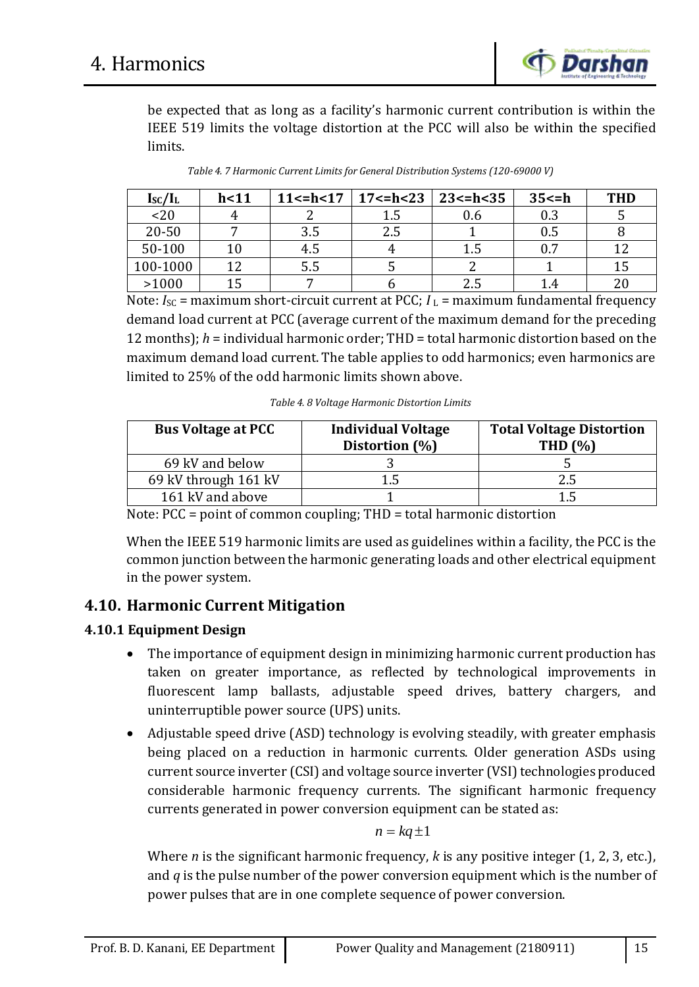

be expected that as long as a facility's harmonic current contribution is within the IEEE 519 limits the voltage distortion at the PCC will also be within the specified limits.

| $I_{\rm SC}/I_{\rm L}$ | h<11 |     | 11 <= h < 17   17 <= h < 23   23 <= h < 35 |     | 35 < h | <b>THD</b> |
|------------------------|------|-----|--------------------------------------------|-----|--------|------------|
| < 20                   |      |     |                                            | 0.6 | 0.3    |            |
| $20 - 50$              |      | 3.5 | 2.5                                        |     | 0.5    |            |
| 50-100                 |      | 4.5 |                                            | 1.5 | 0.7    | 1 າ        |
| 100-1000               |      | 5.5 |                                            |     |        | 15         |
| >1000                  |      |     |                                            | 2.5 |        | $20 \,$    |

*Table 4. 7 Harmonic Current Limits for General Distribution Systems (120-69000 V)*

Note:  $I_{SC}$  = maximum short-circuit current at PCC;  $I_L$  = maximum fundamental frequency demand load current at PCC (average current of the maximum demand for the preceding 12 months); *h* = individual harmonic order; THD = total harmonic distortion based on the maximum demand load current. The table applies to odd harmonics; even harmonics are limited to 25% of the odd harmonic limits shown above.

*Table 4. 8 Voltage Harmonic Distortion Limits*

| <b>Bus Voltage at PCC</b> | <b>Individual Voltage</b><br>Distortion (%) | <b>Total Voltage Distortion</b><br>THD $(%)$ |
|---------------------------|---------------------------------------------|----------------------------------------------|
| 69 kV and below           |                                             |                                              |
| 69 kV through 161 kV      |                                             | 2.5                                          |
| 161 kV and above          |                                             | 1.5                                          |

Note: PCC = point of common coupling; THD = total harmonic distortion

When the IEEE 519 harmonic limits are used as guidelines within a facility, the PCC is the common junction between the harmonic generating loads and other electrical equipment in the power system.

## **4.10. Harmonic Current Mitigation**

## **4.10.1 Equipment Design**

- The importance of equipment design in minimizing harmonic current production has taken on greater importance, as reflected by technological improvements in fluorescent lamp ballasts, adjustable speed drives, battery chargers, and uninterruptible power source (UPS) units.
- Adjustable speed drive (ASD) technology is evolving steadily, with greater emphasis being placed on a reduction in harmonic currents. Older generation ASDs using current source inverter (CSI) and voltage source inverter (VSI) technologies produced considerable harmonic frequency currents. The significant harmonic frequency currents generated in power conversion equipment can be stated as:

$$
n = kq \pm 1
$$

Where *n* is the significant harmonic frequency, *k* is any positive integer (1, 2, 3, etc.), and *q* is the pulse number of the power conversion equipment which is the number of power pulses that are in one complete sequence of power conversion.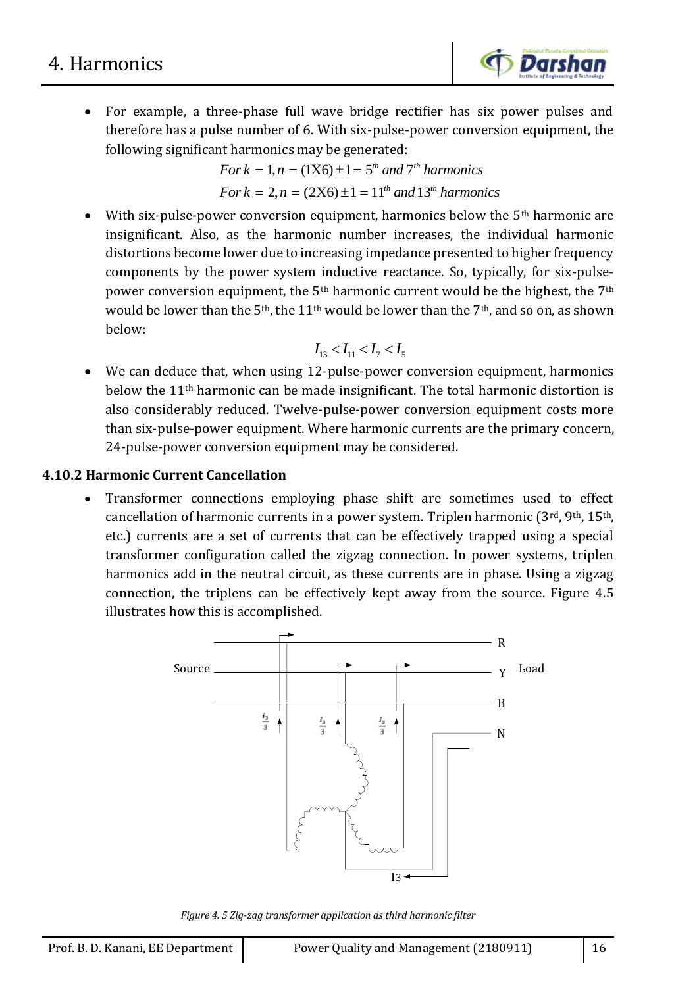

 For example, a three-phase full wave bridge rectifier has six power pulses and therefore has a pulse number of 6. With six-pulse-power conversion equipment, the following significant harmonics may be generated:

*For* 
$$
k = 1, n = (1X6) \pm 1 = 5^{th}
$$
 *and*  $7^{th}$  *harmonics*  
*For*  $k = 2, n = (2X6) \pm 1 = 11^{th}$  *and*  $13^{th}$  *harmonics*

With six-pulse-power conversion equipment, harmonics below the  $5<sup>th</sup>$  harmonic are insignificant. Also, as the harmonic number increases, the individual harmonic distortions become lower due to increasing impedance presented to higher frequency components by the power system inductive reactance. So, typically, for six-pulsepower conversion equipment, the  $5<sup>th</sup>$  harmonic current would be the highest, the  $7<sup>th</sup>$ would be lower than the 5<sup>th</sup>, the 11<sup>th</sup> would be lower than the 7<sup>th</sup>, and so on, as shown below:

$$
I_{13} < I_{11} < I_7 < I_5
$$

 We can deduce that, when using 12-pulse-power conversion equipment, harmonics below the 11th harmonic can be made insignificant. The total harmonic distortion is also considerably reduced. Twelve-pulse-power conversion equipment costs more than six-pulse-power equipment. Where harmonic currents are the primary concern, 24-pulse-power conversion equipment may be considered.

### **4.10.2 Harmonic Current Cancellation**

 Transformer connections employing phase shift are sometimes used to effect cancellation of harmonic currents in a power system. Triplen harmonic  $(3^{rd}, 9^{th}, 15^{th},$ etc.) currents are a set of currents that can be effectively trapped using a special transformer configuration called the zigzag connection. In power systems, triplen harmonics add in the neutral circuit, as these currents are in phase. Using a zigzag connection, the triplens can be effectively kept away from the source. Figure 4.5 illustrates how this is accomplished.



*Figure 4. 5 Zig-zag transformer application as third harmonic filter*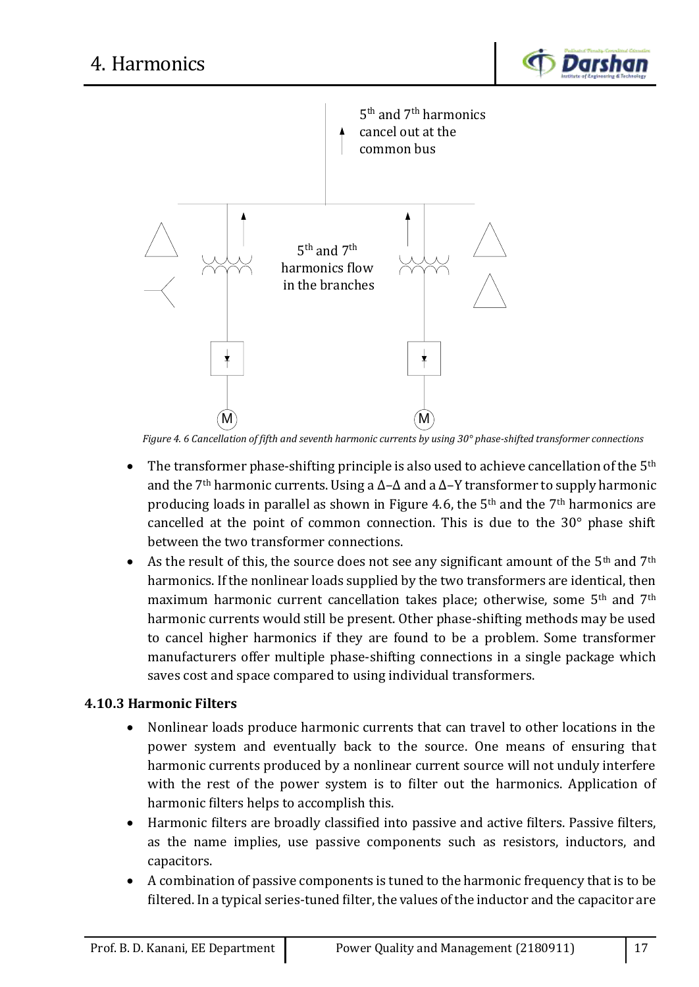



*Figure 4. 6 Cancellation of fifth and seventh harmonic currents by using 30° phase-shifted transformer connections*

- The transformer phase-shifting principle is also used to achieve cancellation of the  $5<sup>th</sup>$ and the 7th harmonic currents. Using a ∆–∆ and a ∆–Y transformer to supply harmonic producing loads in parallel as shown in Figure 4.6, the 5th and the 7th harmonics are cancelled at the point of common connection. This is due to the 30° phase shift between the two transformer connections.
- As the result of this, the source does not see any significant amount of the  $5<sup>th</sup>$  and  $7<sup>th</sup>$ harmonics. If the nonlinear loads supplied by the two transformers are identical, then maximum harmonic current cancellation takes place; otherwise, some 5<sup>th</sup> and 7<sup>th</sup> harmonic currents would still be present. Other phase-shifting methods may be used to cancel higher harmonics if they are found to be a problem. Some transformer manufacturers offer multiple phase-shifting connections in a single package which saves cost and space compared to using individual transformers.

## **4.10.3 Harmonic Filters**

- Nonlinear loads produce harmonic currents that can travel to other locations in the power system and eventually back to the source. One means of ensuring that harmonic currents produced by a nonlinear current source will not unduly interfere with the rest of the power system is to filter out the harmonics. Application of harmonic filters helps to accomplish this.
- Harmonic filters are broadly classified into passive and active filters. Passive filters, as the name implies, use passive components such as resistors, inductors, and capacitors.
- A combination of passive components is tuned to the harmonic frequency that is to be filtered. In a typical series-tuned filter, the values of the inductor and the capacitor are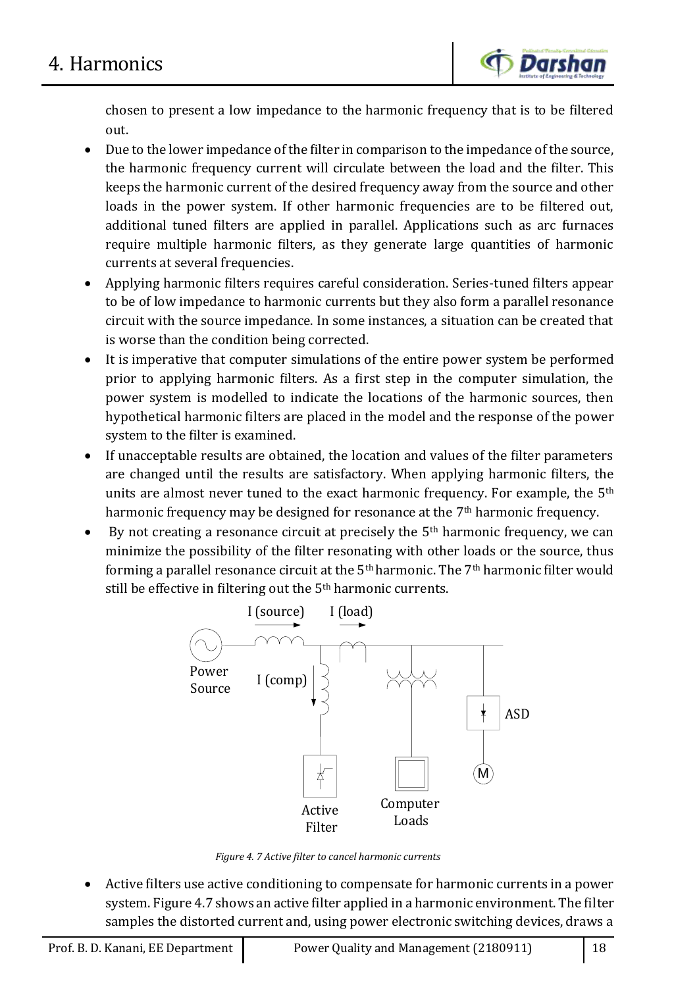

chosen to present a low impedance to the harmonic frequency that is to be filtered out.

- Due to the lower impedance of the filter in comparison to the impedance of the source, the harmonic frequency current will circulate between the load and the filter. This keeps the harmonic current of the desired frequency away from the source and other loads in the power system. If other harmonic frequencies are to be filtered out, additional tuned filters are applied in parallel. Applications such as arc furnaces require multiple harmonic filters, as they generate large quantities of harmonic currents at several frequencies.
- Applying harmonic filters requires careful consideration. Series-tuned filters appear to be of low impedance to harmonic currents but they also form a parallel resonance circuit with the source impedance. In some instances, a situation can be created that is worse than the condition being corrected.
- It is imperative that computer simulations of the entire power system be performed prior to applying harmonic filters. As a first step in the computer simulation, the power system is modelled to indicate the locations of the harmonic sources, then hypothetical harmonic filters are placed in the model and the response of the power system to the filter is examined.
- If unacceptable results are obtained, the location and values of the filter parameters are changed until the results are satisfactory. When applying harmonic filters, the units are almost never tuned to the exact harmonic frequency. For example, the 5<sup>th</sup> harmonic frequency may be designed for resonance at the 7<sup>th</sup> harmonic frequency.
- By not creating a resonance circuit at precisely the  $5<sup>th</sup>$  harmonic frequency, we can minimize the possibility of the filter resonating with other loads or the source, thus forming a parallel resonance circuit at the 5th harmonic. The 7th harmonic filter would still be effective in filtering out the 5<sup>th</sup> harmonic currents.



*Figure 4. 7 Active filter to cancel harmonic currents*

 Active filters use active conditioning to compensate for harmonic currents in a power system. Figure 4.7 shows an active filter applied in a harmonic environment. The filter samples the distorted current and, using power electronic switching devices, draws a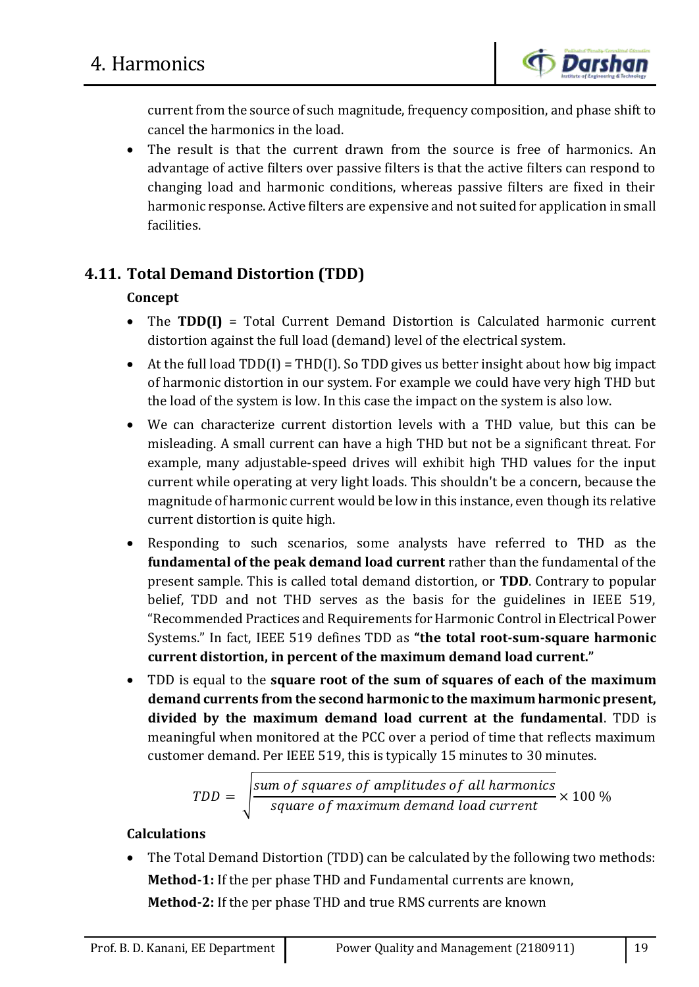

current from the source of such magnitude, frequency composition, and phase shift to cancel the harmonics in the load.

• The result is that the current drawn from the source is free of harmonics. An advantage of active filters over passive filters is that the active filters can respond to changing load and harmonic conditions, whereas passive filters are fixed in their harmonic response. Active filters are expensive and not suited for application in small facilities.

# **4.11. Total Demand Distortion (TDD)**

## **Concept**

- The **TDD(I)** = Total Current Demand Distortion is Calculated harmonic current distortion against the full load (demand) level of the electrical system.
- At the full load  $TDD(I) = THD(I)$ . So  $TDD$  gives us better insight about how big impact of harmonic distortion in our system. For example we could have very high THD but the load of the system is low. In this case the impact on the system is also low.
- We can characterize current distortion levels with a THD value, but this can be misleading. A small current can have a high THD but not be a significant threat. For example, many adjustable-speed drives will exhibit high THD values for the input current while operating at very light loads. This shouldn't be a concern, because the magnitude of harmonic current would be low in this instance, even though its relative current distortion is quite high.
- Responding to such scenarios, some analysts have referred to THD as the **fundamental of the peak demand load current** rather than the fundamental of the present sample. This is called total demand distortion, or **TDD**. Contrary to popular belief, TDD and not THD serves as the basis for the guidelines in IEEE 519, "Recommended Practices and Requirements for Harmonic Control in Electrical Power Systems." In fact, IEEE 519 defines TDD as **"the total root-sum-square harmonic current distortion, in percent of the maximum demand load current."**
- TDD is equal to the **square root of the sum of squares of each of the maximum demand currents from the second harmonic to the maximum harmonic present, divided by the maximum demand load current at the fundamental**. TDD is meaningful when monitored at the PCC over a period of time that reflects maximum customer demand. Per IEEE 519, this is typically 15 minutes to 30 minutes.

$$
TDD = \sqrt{\frac{sum\space of\space squares\space of\space amplitudes\space of\space all\space harmonics}{square\space of\space maximum\space demand\space load\space current}} \times 100\%
$$

## **Calculations**

 The Total Demand Distortion (TDD) can be calculated by the following two methods: **Method-1:** If the per phase THD and Fundamental currents are known, **Method-2:** If the per phase THD and true RMS currents are known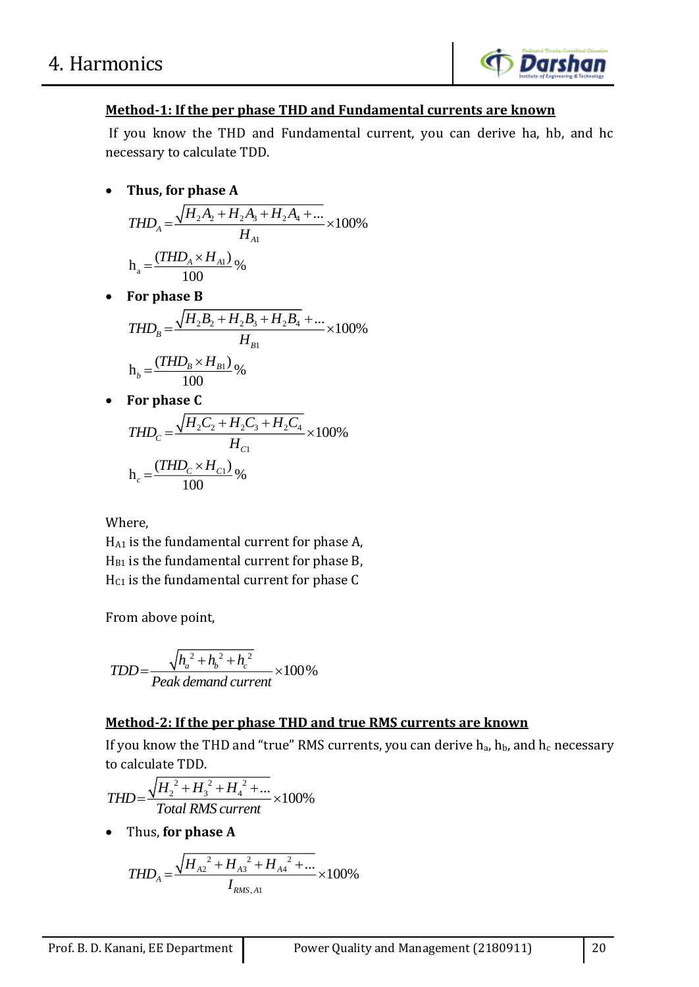

## **Method-1: If the per phase THD and Fundamental currents are known**

If you know the THD and Fundamental current, you can derive ha, hb, and hc necessary to calculate TDD.

**Thus, for phase A**

$$
THD_A = \frac{\sqrt{H_2 A_2 + H_2 A_3 + H_2 A_4 + \dots}}{H_{A1}} \times 100\%
$$
  

$$
h_a = \frac{(THD_A \times H_{A1})}{100}\%
$$

**For phase B**

$$
THD_B = \frac{\sqrt{H_2B_2 + H_2B_3 + H_2B_4} + ...}{H_{B1}} \times 100\%
$$
  

$$
h_b = \frac{(THD_B \times H_{B1})}{100}\%
$$

**For phase C**

$$
THD_C = \frac{\sqrt{H_2C_2 + H_2C_3 + H_2C_4}}{H_{C1}} \times 100\%
$$
  
h<sub>c</sub> =  $\frac{(THD_C \times H_{C1})}{100}\%$ 

Where,

HA1 is the fundamental current for phase A,  $H<sub>B1</sub>$  is the fundamental current for phase B,  $H<sub>C1</sub>$  is the fundamental current for phase C

From above point,

$$
TDD = \frac{\sqrt{h_a^2 + h_b^2 + h_c^2}}{Peak demand current} \times 100\%
$$

## **Method-2: If the per phase THD and true RMS currents are known**

If you know the THD and "true" RMS currents, you can derive  $h_a$ ,  $h_b$ , and  $h_c$  necessary to calculate TDD.

$$
THD = \frac{\sqrt{H_2^2 + H_3^2 + H_4^2 + ...}}{Total RMS current} \times 100\%
$$

Thus, **for phase A**

$$
THD_A = \frac{\sqrt{{H_{A2}}^2 + {H_{A3}}^2 + {H_{A4}}^2 + \dots}}{I_{RMS,A1}} \times 100\%
$$